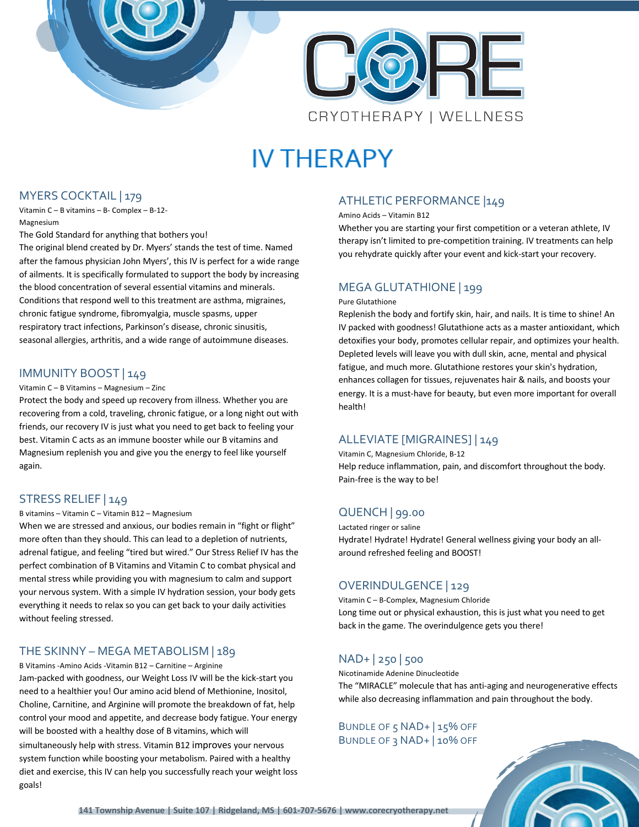

# **IV THERAPY**

#### MYERS COCKTAIL | 179

Vitamin C – B vitamins – B- Complex – B-12- Magnesium

The Gold Standard for anything that bothers you!

The original blend created by Dr. Myers' stands the test of time. Named after the famous physician John Myers', this IV is perfect for a wide range of ailments. It is specifically formulated to support the body by increasing the blood concentration of several essential vitamins and minerals. Conditions that respond well to this treatment are asthma, migraines, chronic fatigue syndrome, fibromyalgia, muscle spasms, upper respiratory tract infections, Parkinson's disease, chronic sinusitis, seasonal allergies, arthritis, and a wide range of autoimmune diseases.

#### IMMUNITY BOOST | 149

#### Vitamin C – B Vitamins – Magnesium – Zinc

Protect the body and speed up recovery from illness. Whether you are recovering from a cold, traveling, chronic fatigue, or a long night out with friends, our recovery IV is just what you need to get back to feeling your best. Vitamin C acts as an immune booster while our B vitamins and Magnesium replenish you and give you the energy to feel like yourself again.

#### STRESS RELIEF | 149

#### B vitamins – Vitamin C – Vitamin B12 – Magnesium

When we are stressed and anxious, our bodies remain in "fight or flight" more often than they should. This can lead to a depletion of nutrients, adrenal fatigue, and feeling "tired but wired." Our Stress Relief IV has the perfect combination of B Vitamins and Vitamin C to combat physical and mental stress while providing you with magnesium to calm and support your nervous system. With a simple IV hydration session, your body gets everything it needs to relax so you can get back to your daily activities without feeling stressed.

#### THE SKINNY – MEGA METABOLISM | 189

B Vitamins -Amino Acids -Vitamin B12 – Carnitine – Arginine Jam-packed with goodness, our Weight Loss IV will be the kick-start you need to a healthier you! Our amino acid blend of Methionine, Inositol, Choline, Carnitine, and Arginine will promote the breakdown of fat, help control your mood and appetite, and decrease body fatigue. Your energy will be boosted with a healthy dose of B vitamins, which will simultaneously help with stress. Vitamin B12 improves your nervous system function while boosting your metabolism. Paired with a healthy diet and exercise, this IV can help you successfully reach your weight loss goals!

#### ATHLETIC PERFORMANCE |149

#### Amino Acids – Vitamin B12

Whether you are starting your first competition or a veteran athlete, IV therapy isn't limited to pre-competition training. IV treatments can help you rehydrate quickly after your event and kick-start your recovery.

#### MEGA GLUTATHIONE | 199

#### Pure Glutathione

Replenish the body and fortify skin, hair, and nails. It is time to shine! An IV packed with goodness! Glutathione acts as a master antioxidant, which detoxifies your body, promotes cellular repair, and optimizes your health. Depleted levels will leave you with dull skin, acne, mental and physical fatigue, and much more. Glutathione restores your skin's hydration, enhances collagen for tissues, rejuvenates hair & nails, and boosts your energy. It is a must-have for beauty, but even more important for overall health!

#### ALLEVIATE [MIGRAINES] | 149

Vitamin C, Magnesium Chloride, B-12 Help reduce inflammation, pain, and discomfort throughout the body. Pain-free is the way to be!

#### QUENCH | 99.00

Lactated ringer or saline Hydrate! Hydrate! Hydrate! General wellness giving your body an allaround refreshed feeling and BOOST!

#### OVERINDULGENCE | 129

Vitamin C – B-Complex, Magnesium Chloride Long time out or physical exhaustion, this is just what you need to get back in the game. The overindulgence gets you there!

#### NAD+ | 250 | 500

Nicotinamide Adenine Dinucleotide

The "MIRACLE" molecule that has anti-aging and neurogenerative effects while also decreasing inflammation and pain throughout the body.

#### BUNDLE OF 5 NAD+ 15% OFF BUNDLE OF 3 NAD+ | 10% OFF

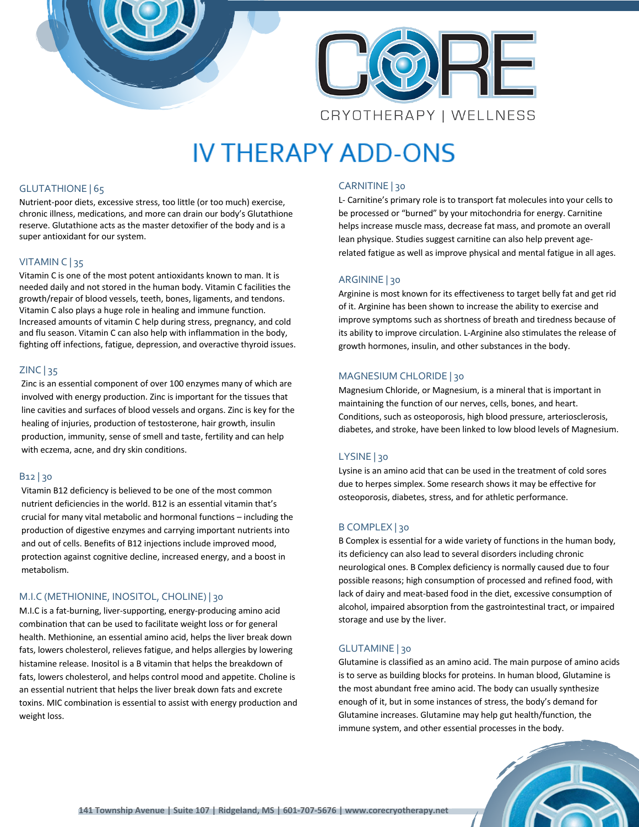

# **IV THERAPY ADD-ONS**

#### GLUTATHIONE | 65

Nutrient-poor diets, excessive stress, too little (or too much) exercise, chronic illness, medications, and more can drain our body's Glutathione reserve. Glutathione acts as the master detoxifier of the body and is a super antioxidant for our system.

#### VITAMIN C | 35

Vitamin C is one of the most potent antioxidants known to man. It is needed daily and not stored in the human body. Vitamin C facilities the growth/repair of blood vessels, teeth, bones, ligaments, and tendons. Vitamin C also plays a huge role in healing and immune function. Increased amounts of vitamin C help during stress, pregnancy, and cold and flu season. Vitamin C can also help with inflammation in the body, fighting off infections, fatigue, depression, and overactive thyroid issues.

#### ZINC | 35

Zinc is an essential component of over 100 enzymes many of which are involved with energy production. Zinc is important for the tissues that line cavities and surfaces of blood vessels and organs. Zinc is key for the healing of injuries, production of testosterone, hair growth, insulin production, immunity, sense of smell and taste, fertility and can help with eczema, acne, and dry skin conditions.

#### B12 | 30

Vitamin B12 deficiency is believed to be one of the most common nutrient deficiencies in the world. B12 is an essential vitamin that's crucial for many vital metabolic and hormonal functions – including the production of digestive enzymes and carrying important nutrients into and out of cells. Benefits of B12 injections include improved mood, protection against cognitive decline, increased energy, and a boost in metabolism.

#### M.I.C (METHIONINE, INOSITOL, CHOLINE) | 30

M.I.C is a fat-burning, liver-supporting, energy-producing amino acid combination that can be used to facilitate weight loss or for general health. Methionine, an essential amino acid, helps the liver break down fats, lowers cholesterol, relieves fatigue, and helps allergies by lowering histamine release. Inositol is a B vitamin that helps the breakdown of fats, lowers cholesterol, and helps control mood and appetite. Choline is an essential nutrient that helps the liver break down fats and excrete toxins. MIC combination is essential to assist with energy production and weight loss.

#### CARNITINE | 30

L- Carnitine's primary role is to transport fat molecules into your cells to be processed or "burned" by your mitochondria for energy. Carnitine helps increase muscle mass, decrease fat mass, and promote an overall lean physique. Studies suggest carnitine can also help prevent agerelated fatigue as well as improve physical and mental fatigue in all ages.

#### ARGININE | 30

Arginine is most known for its effectiveness to target belly fat and get rid of it. Arginine has been shown to increase the ability to exercise and improve symptoms such as shortness of breath and tiredness because of its ability to improve circulation. L-Arginine also stimulates the release of growth hormones, insulin, and other substances in the body.

#### MAGNESIUM CHLORIDE | 30

Magnesium Chloride, or Magnesium, is a mineral that is important in maintaining the function of our nerves, cells, bones, and heart. Conditions, such as osteoporosis, high blood pressure, arteriosclerosis, diabetes, and stroke, have been linked to low blood levels of Magnesium.

#### LYSINE | 30

Lysine is an amino acid that can be used in the treatment of cold sores due to herpes simplex. Some research shows it may be effective for osteoporosis, diabetes, stress, and for athletic performance.

#### B COMPLEX | 30

B Complex is essential for a wide variety of functions in the human body, its deficiency can also lead to several disorders including chronic neurological ones. B Complex deficiency is normally caused due to four possible reasons; high consumption of processed and refined food, with lack of dairy and meat-based food in the diet, excessive consumption of alcohol, impaired absorption from the gastrointestinal tract, or impaired storage and use by the liver.

#### GLUTAMINE | 30

Glutamine is classified as an amino acid. The main purpose of amino acids is to serve as building blocks for proteins. In human blood, Glutamine is the most abundant free amino acid. The body can usually synthesize enough of it, but in some instances of stress, the body's demand for Glutamine increases. Glutamine may help gut health/function, the immune system, and other essential processes in the body.

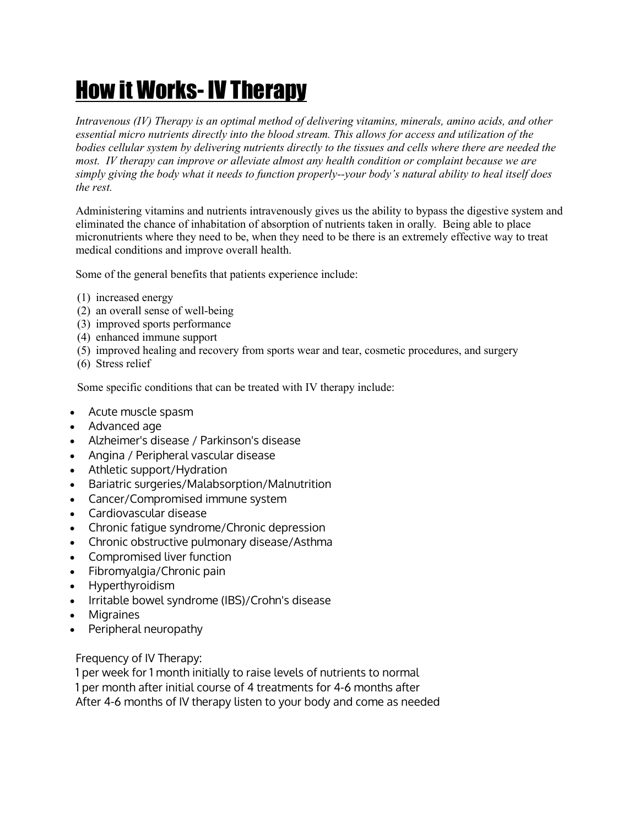# How it Works- IV Therapy

*Intravenous (IV) Therapy is an optimal method of delivering vitamins, minerals, amino acids, and other essential micro nutrients directly into the blood stream. This allows for access and utilization of the bodies cellular system by delivering nutrients directly to the tissues and cells where there are needed the most. IV therapy can improve or alleviate almost any health condition or complaint because we are simply giving the body what it needs to function properly--your body's natural ability to heal itself does the rest.*

Administering vitamins and nutrients intravenously gives us the ability to bypass the digestive system and eliminated the chance of inhabitation of absorption of nutrients taken in orally*.* Being able to place micronutrients where they need to be, when they need to be there is an extremely effective way to treat medical conditions and improve overall health.

Some of the general benefits that patients experience include:

- (1) increased energy
- (2) an overall sense of well-being
- (3) improved sports performance
- (4) enhanced immune support
- (5) improved healing and recovery from sports wear and tear, cosmetic procedures, and surgery
- (6) Stress relief

Some specific conditions that can be treated with IV therapy include:

- Acute muscle spasm
- Advanced age
- Alzheimer's disease / Parkinson's disease
- Angina / Peripheral vascular disease
- Athletic support/Hydration
- Bariatric surgeries/Malabsorption/Malnutrition
- Cancer/Compromised immune system
- Cardiovascular disease
- Chronic fatigue syndrome/Chronic depression
- Chronic obstructive pulmonary disease/Asthma
- Compromised liver function
- Fibromyalgia/Chronic pain
- Hyperthyroidism
- Irritable bowel syndrome (IBS)/Crohn's disease
- **Migraines**
- Peripheral neuropathy

Frequency of IV Therapy:

1 per week for 1 month initially to raise levels of nutrients to normal 1 per month after initial course of 4 treatments for 4-6 months after After 4-6 months of IV therapy listen to your body and come as needed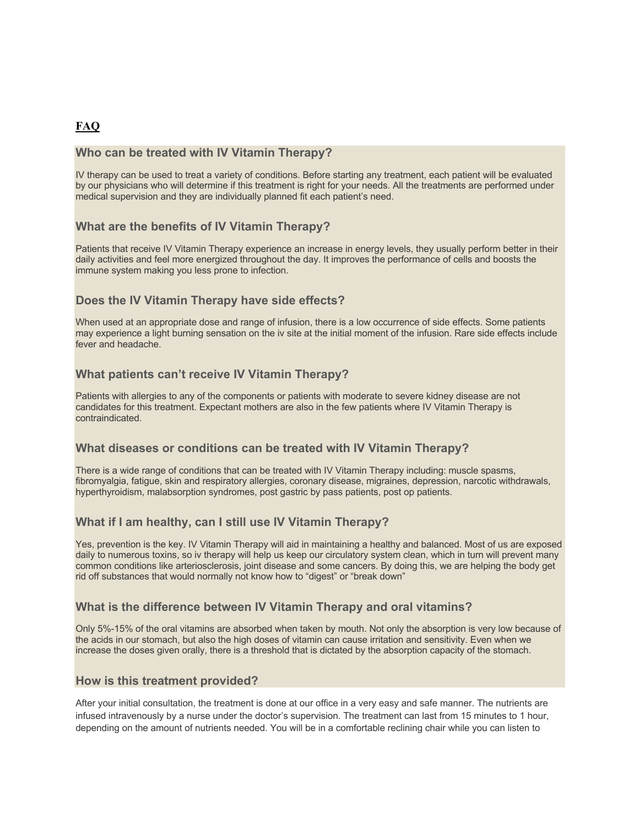#### **FAQ**

#### **Who can be treated with IV Vitamin Therapy?**

IV therapy can be used to treat a variety of conditions. Before starting any treatment, each patient will be evaluated by our physicians who will determine if this treatment is right for your needs. All the treatments are performed under medical supervision and they are individually planned fit each patient's need.

#### **What are the benefits of IV Vitamin Therapy?**

Patients that receive IV Vitamin Therapy experience an increase in energy levels, they usually perform better in their daily activities and feel more energized throughout the day. It improves the performance of cells and boosts the immune system making you less prone to infection.

#### **Does the IV Vitamin Therapy have side effects?**

When used at an appropriate dose and range of infusion, there is a low occurrence of side effects. Some patients may experience a light burning sensation on the iv site at the initial moment of the infusion. Rare side effects include fever and headache.

#### **What patients can't receive IV Vitamin Therapy?**

Patients with allergies to any of the components or patients with moderate to severe kidney disease are not candidates for this treatment. Expectant mothers are also in the few patients where IV Vitamin Therapy is contraindicated.

#### **What diseases or conditions can be treated with IV Vitamin Therapy?**

There is a wide range of conditions that can be treated with IV Vitamin Therapy including: muscle spasms, fibromyalgia, fatigue, skin and respiratory allergies, coronary disease, migraines, depression, narcotic withdrawals, hyperthyroidism, malabsorption syndromes, post gastric by pass patients, post op patients.

#### **What if I am healthy, can I still use IV Vitamin Therapy?**

Yes, prevention is the key. IV Vitamin Therapy will aid in maintaining a healthy and balanced. Most of us are exposed daily to numerous toxins, so iv therapy will help us keep our circulatory system clean, which in turn will prevent many common conditions like arteriosclerosis, joint disease and some cancers. By doing this, we are helping the body get rid off substances that would normally not know how to "digest" or "break down"

#### **What is the difference between IV Vitamin Therapy and oral vitamins?**

Only 5%-15% of the oral vitamins are absorbed when taken by mouth. Not only the absorption is very low because of the acids in our stomach, but also the high doses of vitamin can cause irritation and sensitivity. Even when we increase the doses given orally, there is a threshold that is dictated by the absorption capacity of the stomach.

#### **How is this treatment provided?**

After your initial consultation, the treatment is done at our office in a very easy and safe manner. The nutrients are infused intravenously by a nurse under the doctor's supervision. The treatment can last from 15 minutes to 1 hour, depending on the amount of nutrients needed. You will be in a comfortable reclining chair while you can listen to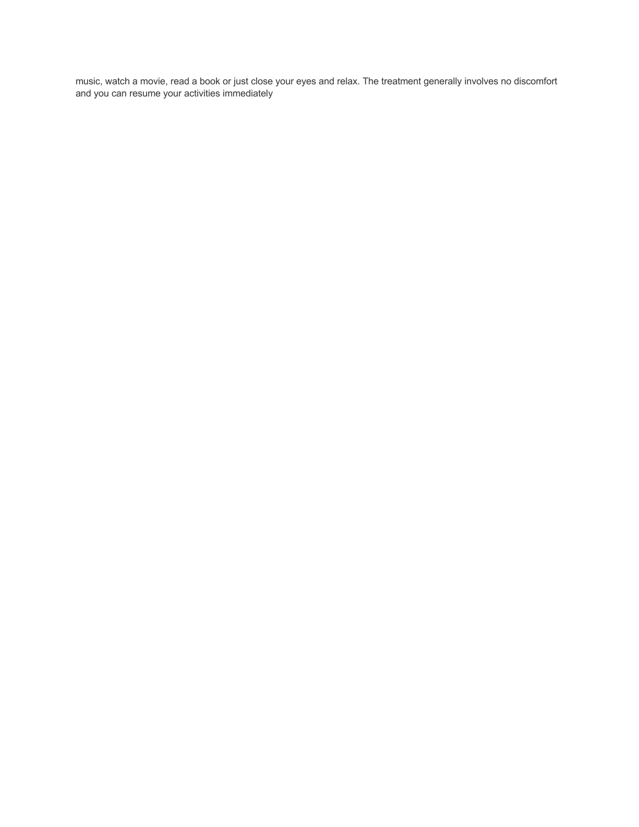music, watch a movie, read a book or just close your eyes and relax. The treatment generally involves no discomfort and you can resume your activities immediately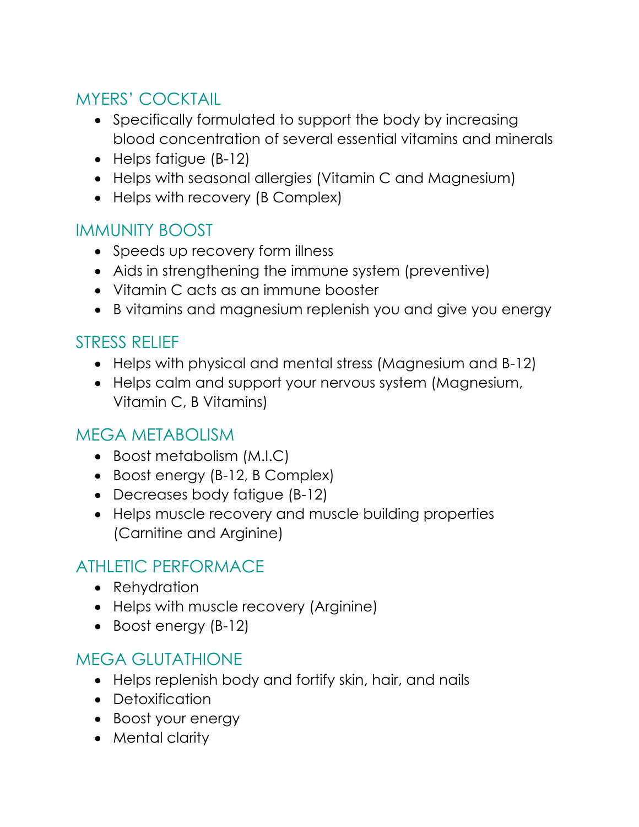# MYERS' COCKTAIL

- Specifically formulated to support the body by increasing blood concentration of several essential vitamins and minerals
- Helps fatigue (B-12)
- Helps with seasonal allergies (Vitamin C and Magnesium)
- Helps with recovery (B Complex)

# IMMUNITY BOOST

- Speeds up recovery form illness
- Aids in strengthening the immune system (preventive)
- Vitamin C acts as an immune booster
- B vitamins and magnesium replenish you and give you energy

# STRESS RELIEF

- Helps with physical and mental stress (Magnesium and B-12)
- Helps calm and support your nervous system (Magnesium, Vitamin C, B Vitamins)

# MEGA METABOLISM

- Boost metabolism (M.I.C)
- Boost energy (B-12, B Complex)
- Decreases body fatigue (B-12)
- Helps muscle recovery and muscle building properties (Carnitine and Arginine)

# ATHLETIC PERFORMACE

- Rehydration
- Helps with muscle recovery (Arginine)
- Boost energy (B-12)

# MEGA GLUTATHIONE

- Helps replenish body and fortify skin, hair, and nails
- Detoxification
- Boost your energy
- Mental clarity